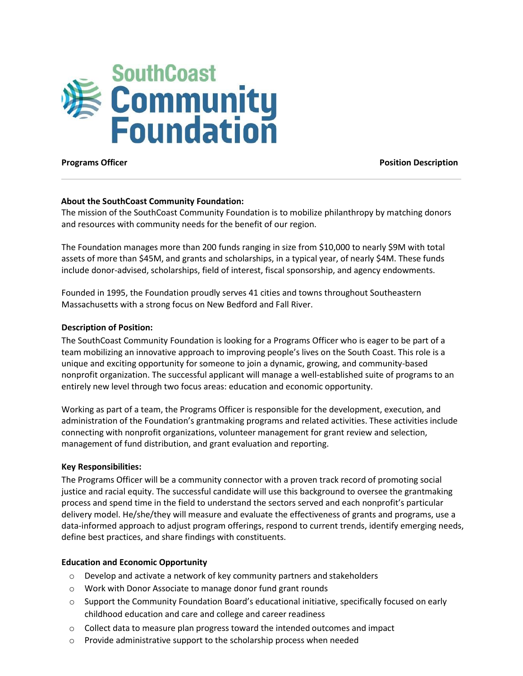

**Programs Officer Position Description**

# **About the SouthCoast Community Foundation:**

The mission of the SouthCoast Community Foundation is to mobilize philanthropy by matching donors and resources with community needs for the benefit of our region.

The Foundation manages more than 200 funds ranging in size from \$10,000 to nearly \$9M with total assets of more than \$45M, and grants and scholarships, in a typical year, of nearly \$4M. These funds include donor-advised, scholarships, field of interest, fiscal sponsorship, and agency endowments.

Founded in 1995, the Foundation proudly serves 41 cities and towns throughout Southeastern Massachusetts with a strong focus on New Bedford and Fall River.

### **Description of Position:**

The SouthCoast Community Foundation is looking for a Programs Officer who is eager to be part of a team mobilizing an innovative approach to improving people's lives on the South Coast. This role is a unique and exciting opportunity for someone to join a dynamic, growing, and community-based nonprofit organization. The successful applicant will manage a well-established suite of programs to an entirely new level through two focus areas: education and economic opportunity.

Working as part of a team, the Programs Officer is responsible for the development, execution, and administration of the Foundation's grantmaking programs and related activities. These activities include connecting with nonprofit organizations, volunteer management for grant review and selection, management of fund distribution, and grant evaluation and reporting.

# **Key Responsibilities:**

The Programs Officer will be a community connector with a proven track record of promoting social justice and racial equity. The successful candidate will use this background to oversee the grantmaking process and spend time in the field to understand the sectors served and each nonprofit's particular delivery model. He/she/they will measure and evaluate the effectiveness of grants and programs, use a data-informed approach to adjust program offerings, respond to current trends, identify emerging needs, define best practices, and share findings with constituents.

# **Education and Economic Opportunity**

- o Develop and activate a network of key community partners and stakeholders
- o Work with Donor Associate to manage donor fund grant rounds
- $\circ$  Support the Community Foundation Board's educational initiative, specifically focused on early childhood education and care and college and career readiness
- $\circ$  Collect data to measure plan progress toward the intended outcomes and impact
- o Provide administrative support to the scholarship process when needed